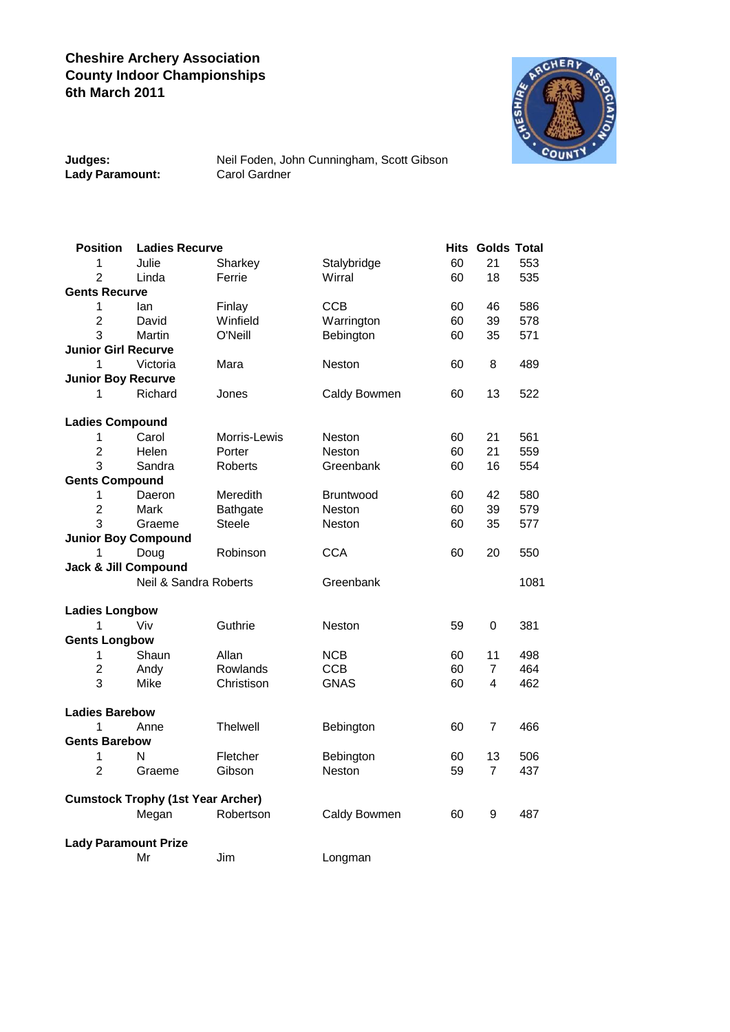## **Cheshire Archery Association County Indoor Championships 6th March 2011**



| Judges:         |
|-----------------|
| Lady Paramount: |

**Judges:** Neil Foden, John Cunningham, Scott Gibson **Carol Gardner** 

| <b>Position</b>                          | <b>Ladies Recurve</b> |                |                  |    | <b>Hits Golds Total</b> |      |  |  |  |
|------------------------------------------|-----------------------|----------------|------------------|----|-------------------------|------|--|--|--|
| 1                                        | Julie                 | Sharkey        | Stalybridge      | 60 | 21                      | 553  |  |  |  |
| $\overline{2}$                           | Linda                 | Ferrie         | Wirral           | 60 | 18                      | 535  |  |  |  |
| <b>Gents Recurve</b>                     |                       |                |                  |    |                         |      |  |  |  |
| 1                                        | lan                   | Finlay         | <b>CCB</b>       | 60 | 46                      | 586  |  |  |  |
| $\overline{2}$                           | David                 | Winfield       | Warrington       | 60 | 39                      | 578  |  |  |  |
| 3                                        | Martin                | O'Neill        | Bebington        | 60 | 35                      | 571  |  |  |  |
| <b>Junior Girl Recurve</b>               |                       |                |                  |    |                         |      |  |  |  |
| 1                                        | Victoria              | Mara           | <b>Neston</b>    | 60 | 8                       | 489  |  |  |  |
| <b>Junior Boy Recurve</b>                |                       |                |                  |    |                         |      |  |  |  |
| 1                                        | Richard               | Jones          | Caldy Bowmen     | 60 | 13                      | 522  |  |  |  |
| <b>Ladies Compound</b>                   |                       |                |                  |    |                         |      |  |  |  |
| 1                                        | Carol                 | Morris-Lewis   | <b>Neston</b>    | 60 | 21                      | 561  |  |  |  |
| $\overline{2}$                           | Helen                 | Porter         | Neston           | 60 | 21                      | 559  |  |  |  |
| 3                                        | Sandra                | <b>Roberts</b> | Greenbank        | 60 | 16                      | 554  |  |  |  |
| <b>Gents Compound</b>                    |                       |                |                  |    |                         |      |  |  |  |
| 1                                        | Daeron                | Meredith       | <b>Bruntwood</b> | 60 | 42                      | 580  |  |  |  |
| $\overline{2}$                           | Mark                  | Bathgate       | <b>Neston</b>    | 60 | 39                      | 579  |  |  |  |
| 3                                        | Graeme                | <b>Steele</b>  | <b>Neston</b>    | 60 | 35                      | 577  |  |  |  |
| <b>Junior Boy Compound</b>               |                       |                |                  |    |                         |      |  |  |  |
| 1                                        | Doug                  | Robinson       | <b>CCA</b>       | 60 | 20                      | 550  |  |  |  |
| Jack & Jill Compound                     |                       |                |                  |    |                         |      |  |  |  |
|                                          | Neil & Sandra Roberts |                | Greenbank        |    |                         | 1081 |  |  |  |
| <b>Ladies Longbow</b>                    |                       |                |                  |    |                         |      |  |  |  |
| 1                                        | Viv                   | Guthrie        | <b>Neston</b>    | 59 | 0                       | 381  |  |  |  |
| <b>Gents Longbow</b>                     |                       |                |                  |    |                         |      |  |  |  |
| 1                                        | Shaun                 | Allan          | <b>NCB</b>       | 60 | 11                      | 498  |  |  |  |
| $\overline{c}$                           | Andy                  | Rowlands       | <b>CCB</b>       | 60 | 7                       | 464  |  |  |  |
| 3                                        | Mike                  | Christison     | <b>GNAS</b>      | 60 | 4                       | 462  |  |  |  |
| <b>Ladies Barebow</b>                    |                       |                |                  |    |                         |      |  |  |  |
| 1                                        | Anne                  | Thelwell       | Bebington        | 60 | 7                       | 466  |  |  |  |
| <b>Gents Barebow</b>                     |                       |                |                  |    |                         |      |  |  |  |
| 1                                        | Ν                     | Fletcher       | Bebington        | 60 | 13                      | 506  |  |  |  |
| $\overline{2}$                           | Graeme                | Gibson         | Neston           | 59 | $\overline{7}$          | 437  |  |  |  |
| <b>Cumstock Trophy (1st Year Archer)</b> |                       |                |                  |    |                         |      |  |  |  |
|                                          | Megan                 | Robertson      | Caldy Bowmen     | 60 | 9                       | 487  |  |  |  |
| <b>Lady Paramount Prize</b>              |                       |                |                  |    |                         |      |  |  |  |
|                                          | Mr                    | Jim            | Longman          |    |                         |      |  |  |  |